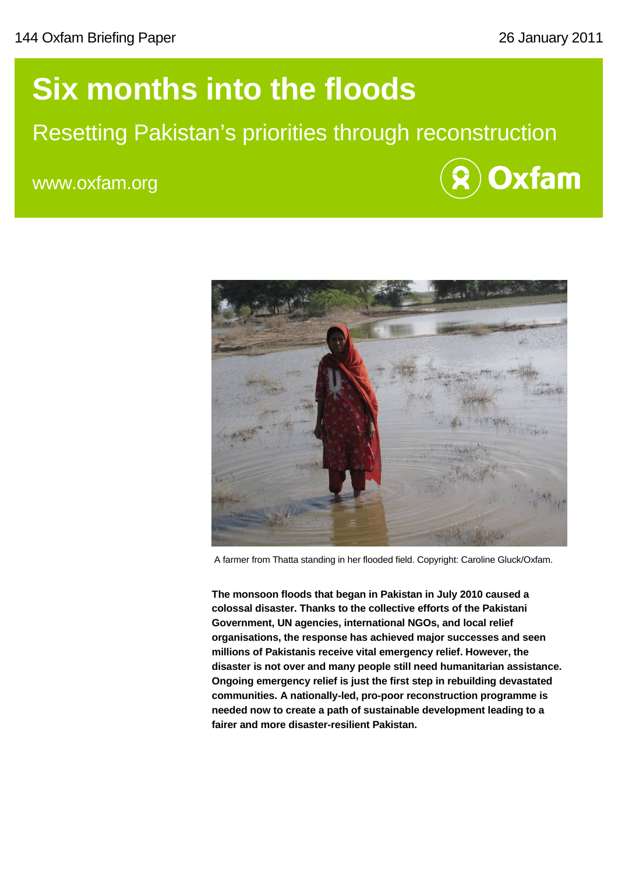# **Six months into the floods**

## Resetting Pakistan's priorities through reconstruction

www.oxfam.org





A farmer from Thatta standing in her flooded field. Copyright: Caroline Gluck/Oxfam.

**The monsoon floods that began in Pakistan in July 2010 caused a colossal disaster. Thanks to the collective efforts of the Pakistani Government, UN agencies, international NGOs, and local relief organisations, the response has achieved major successes and seen millions of Pakistanis receive vital emergency relief. However, the disaster is not over and many people still need humanitarian assistance. Ongoing emergency relief is just the first step in rebuilding devastated communities. A nationally-led, pro-poor reconstruction programme is needed now to create a path of sustainable development leading to a fairer and more disaster-resilient Pakistan.**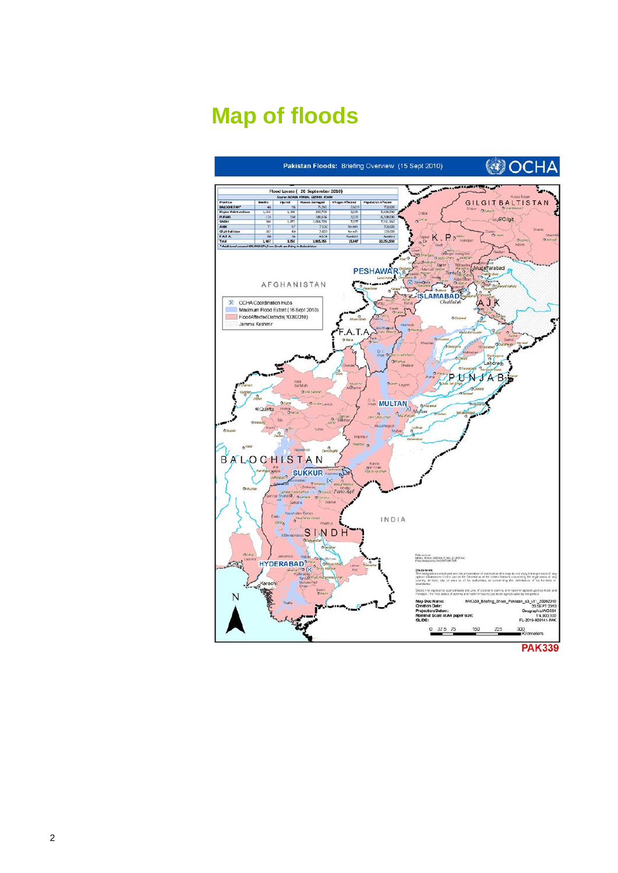# **Map of floods**

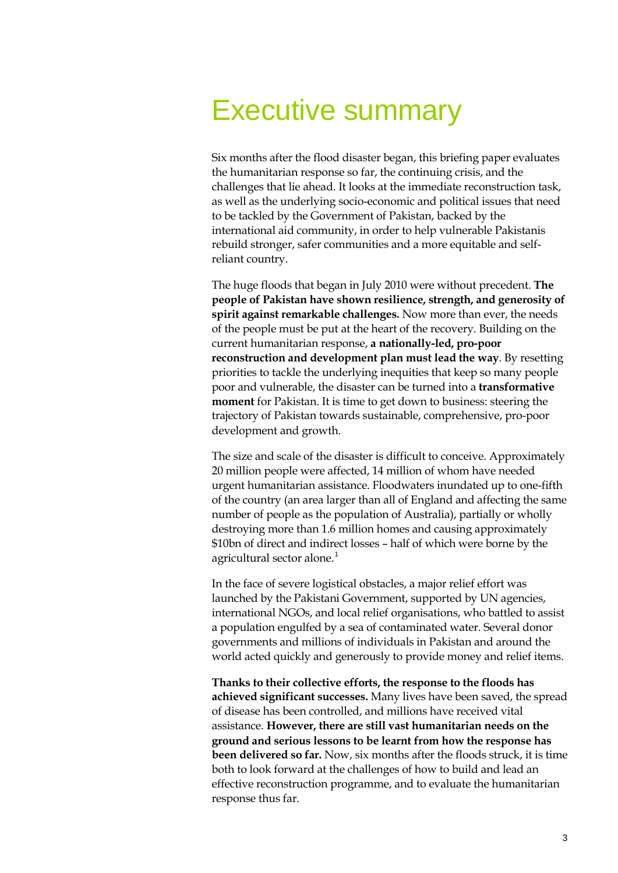# Executive summary

Six months after the flood disaster began, this briefing paper evaluates the humanitarian response so far, the continuing crisis, and the challenges that lie ahead. It looks at the immediate reconstruction task, as well as the underlying socio-economic and political issues that need to be tackled by the Government of Pakistan, backed by the international aid community, in order to help vulnerable Pakistanis rebuild stronger, safer communities and a more equitable and selfreliant country.

The huge floods that began in July 2010 were without precedent. **The people of Pakistan have shown resilience, strength, and generosity of spirit against remarkable challenges.** Now more than ever, the needs of the people must be put at the heart of the recovery. Building on the current humanitarian response, **a nationally-led, pro-poor reconstruction and development plan must lead the way**. By resetting priorities to tackle the underlying inequities that keep so many people poor and vulnerable, the disaster can be turned into a **transformative moment** for Pakistan. It is time to get down to business: steering the trajectory of Pakistan towards sustainable, comprehensive, pro-poor development and growth.

The size and scale of the disaster is difficult to conceive. Approximately 20 million people were affected, 14 million of whom have needed urgent humanitarian assistance. Floodwaters inundated up to one-fifth of the country (an area larger than all of England and affecting the same number of people as the population of Australia), partially or wholly destroying more than 1.6 million homes and causing approximately \$10bn of direct and indirect losses – half of which were borne by the agricultural sector alone.<sup>[1](#page-21-0)</sup>

In the face of severe logistical obstacles, a major relief effort was launched by the Pakistani Government, supported by UN agencies, international NGOs, and local relief organisations, who battled to assist a population engulfed by a sea of contaminated water. Several donor governments and millions of individuals in Pakistan and around the world acted quickly and generously to provide money and relief items.

**Thanks to their collective efforts, the response to the floods has achieved significant successes.** Many lives have been saved, the spread of disease has been controlled, and millions have received vital assistance. **However, there are still vast humanitarian needs on the ground and serious lessons to be learnt from how the response has been delivered so far.** Now, six months after the floods struck, it is time both to look forward at the challenges of how to build and lead an effective reconstruction programme, and to evaluate the humanitarian response thus far.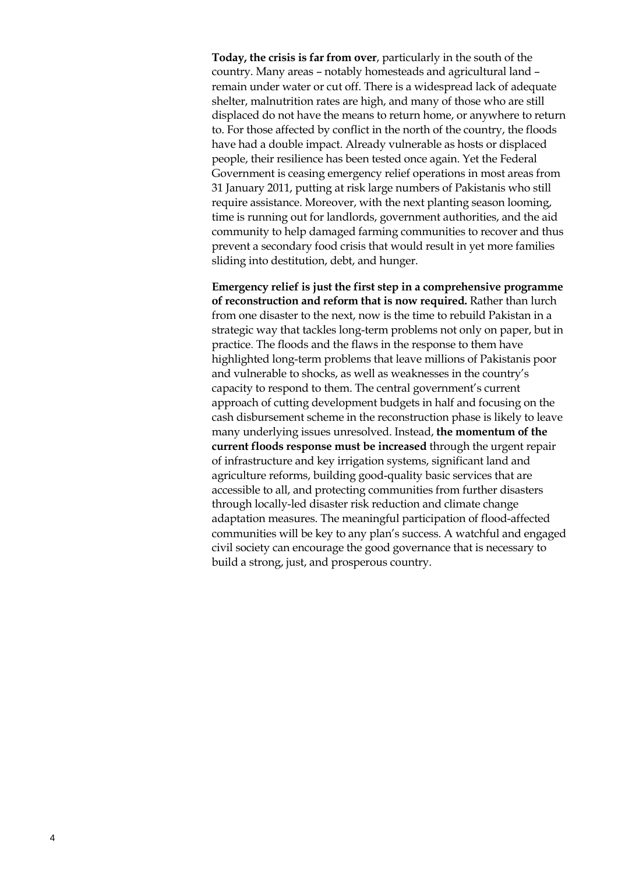**Today, the crisis is far from over**, particularly in the south of the country. Many areas – notably homesteads and agricultural land – remain under water or cut off. There is a widespread lack of adequate shelter, malnutrition rates are high, and many of those who are still displaced do not have the means to return home, or anywhere to return to. For those affected by conflict in the north of the country, the floods have had a double impact. Already vulnerable as hosts or displaced people, their resilience has been tested once again. Yet the Federal Government is ceasing emergency relief operations in most areas from 31 January 2011, putting at risk large numbers of Pakistanis who still require assistance. Moreover, with the next planting season looming, time is running out for landlords, government authorities, and the aid community to help damaged farming communities to recover and thus prevent a secondary food crisis that would result in yet more families sliding into destitution, debt, and hunger.

**Emergency relief is just the first step in a comprehensive programme of reconstruction and reform that is now required.** Rather than lurch from one disaster to the next, now is the time to rebuild Pakistan in a strategic way that tackles long-term problems not only on paper, but in practice. The floods and the flaws in the response to them have highlighted long-term problems that leave millions of Pakistanis poor and vulnerable to shocks, as well as weaknesses in the country's capacity to respond to them. The central government's current approach of cutting development budgets in half and focusing on the cash disbursement scheme in the reconstruction phase is likely to leave many underlying issues unresolved. Instead, **the momentum of the current floods response must be increased** through the urgent repair of infrastructure and key irrigation systems, significant land and agriculture reforms, building good-quality basic services that are accessible to all, and protecting communities from further disasters through locally-led disaster risk reduction and climate change adaptation measures. The meaningful participation of flood-affected communities will be key to any plan's success. A watchful and engaged civil society can encourage the good governance that is necessary to build a strong, just, and prosperous country.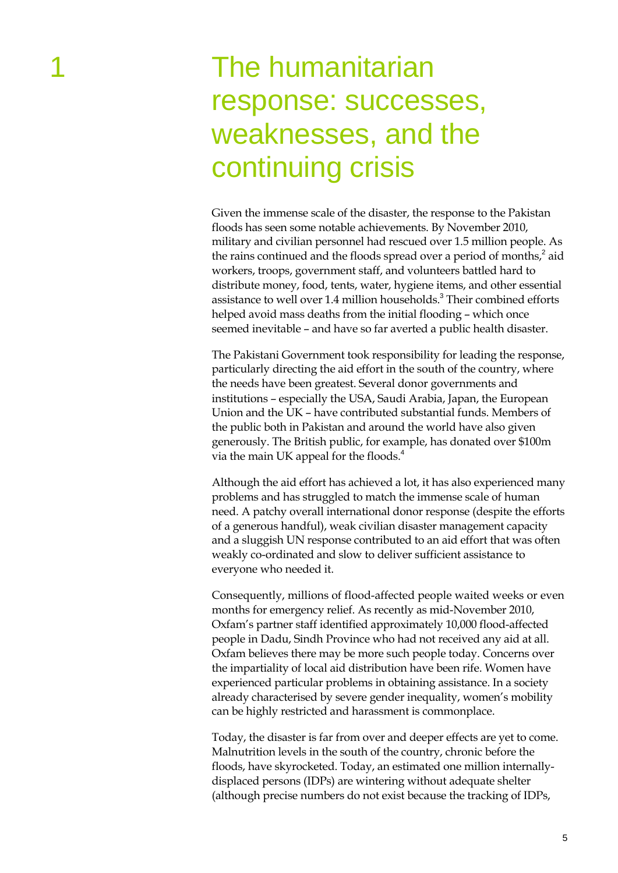# The humanitarian response: successes, weaknesses, and the continuing crisis

Given the immense scale of the disaster, the response to the Pakistan floods has seen some notable achievements. By November 2010, military and civilian personnel had rescued over 1.5 million people. As the rains continued and the floods spread over a period of months, $\lambda^2$  aid workers, troops, government staff, and volunteers battled hard to distribute money, food, tents, water, hygiene items, and other essential assistance to well over 1.4 million households.<sup>3</sup> Their combined efforts helped avoid mass deaths from the initial flooding – which once seemed inevitable – and have so far averted a public health disaster.

The Pakistani Government took responsibility for leading the response, particularly directing the aid effort in the south of the country, where the needs have been greatest. Several donor governments and institutions – especially the USA, Saudi Arabia, Japan, the European Union and the UK – have contributed substantial funds. Members of the public both in Pakistan and around the world have also given generously. The British public, for example, has donated over \$100m via the main UK appeal for the floods.<sup>4</sup>

Although the aid effort has achieved a lot, it has also experienced many problems and has struggled to match the immense scale of human need. A patchy overall international donor response (despite the efforts of a generous handful), weak civilian disaster management capacity and a sluggish UN response contributed to an aid effort that was often weakly co-ordinated and slow to deliver sufficient assistance to everyone who needed it.

Consequently, millions of flood-affected people waited weeks or even months for emergency relief. As recently as mid-November 2010, Oxfam's partner staff identified approximately 10,000 flood-affected people in Dadu, Sindh Province who had not received any aid at all. Oxfam believes there may be more such people today. Concerns over the impartiality of local aid distribution have been rife. Women have experienced particular problems in obtaining assistance. In a society already characterised by severe gender inequality, women's mobility can be highly restricted and harassment is commonplace.

Today, the disaster is far from over and deeper effects are yet to come. Malnutrition levels in the south of the country, chronic before the floods, have skyrocketed. Today, an estimated one million internallydisplaced persons (IDPs) are wintering without adequate shelter (although precise numbers do not exist because the tracking of IDPs,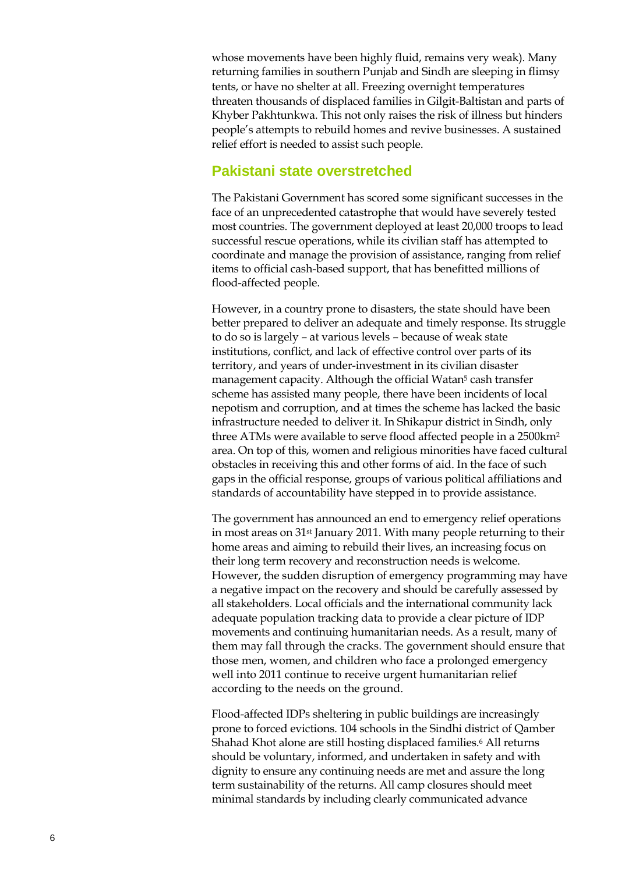whose movements have been highly fluid, remains very weak). Many returning families in sout hern Punjab and Sindh are sleeping in flimsy tents, or have no shelter at all. Freezing overnight temperatures threaten thousands of displaced families in Gilgi t -Baltistan and parts of Khyber Pakhtunkwa. This not only raises the risk of illness but hinders people's attempts to rebuild homes and revive businesses. A sustained relief effort is needed to assist such people.

#### **Pakistani state overstretched**

The Pakistani Government has scored some significant successes in the face of an unprecedented catastrophe that would have severely tested most countries. The government deployed at least 20,000 troops to lead successful rescue operations, while its civilian staff has attempted to coordinate and manage the provision of assistance, ranging from relief items to official cash -based support, that has benefitted millions of flood -affected people.

However, in a country prone to disasters, the state should have been better prepared to deliver an adequate and timely response. Its stru ggle to do so is largely – at various levels – because of weak state institutions, conflict , and lack of effective control over parts of its territory, and years of under -investment in its civilian disaster management capacity. Although the official Watan<sup>5</sup> cash transfer scheme has assisted many people, there have been incidents of local nepotism and corruption, and at times the scheme has lacked the basic infrastructure needed to deliver it. In Shikapur district in Sindh, only three ATMs were available to serve flood affected people in a 2500km 2 area. On top of this, women and religious minorities have faced cultural obstacles in receiving this and other forms of aid. In the face of such gaps in the official response, groups of various political affiliations and standards of accountability have stepped in to provide assi stance.

The government has announced an end to emergency relief operations in most areas on 31st January 2011. With many people returning to their home areas and aiming to rebuild their lives, an increasing focus on their long term recovery and reconstruction needs is welcome. However, the sudden disruption of emergency programming may have a negative impact on the recovery and should be carefully assessed by all stakeholders. Local officials and the international community lack adequate population tracking data to provide a clear picture of IDP movements and continuing humanitarian needs. As a result, many of them may fall through the cracks. The government should ensure that those men, women, and children who face a prolonged emergency well into 2011 continue to receive urgent humanitarian relief according to the needs on the ground.

Flood -affected IDPs sheltering in public buildings are increasingly prone to forced evictions. 104 schools in the Sindh i district of Qamber Shahad Khot alone are still hosting displaced families. <sup>6</sup> All returns should be voluntary, informed, and undertaken in safety and with dignity to ensure any continuing needs are met and assure the long term sustainability of the returns. All camp closures should meet minimal standards by including clearly communicated advance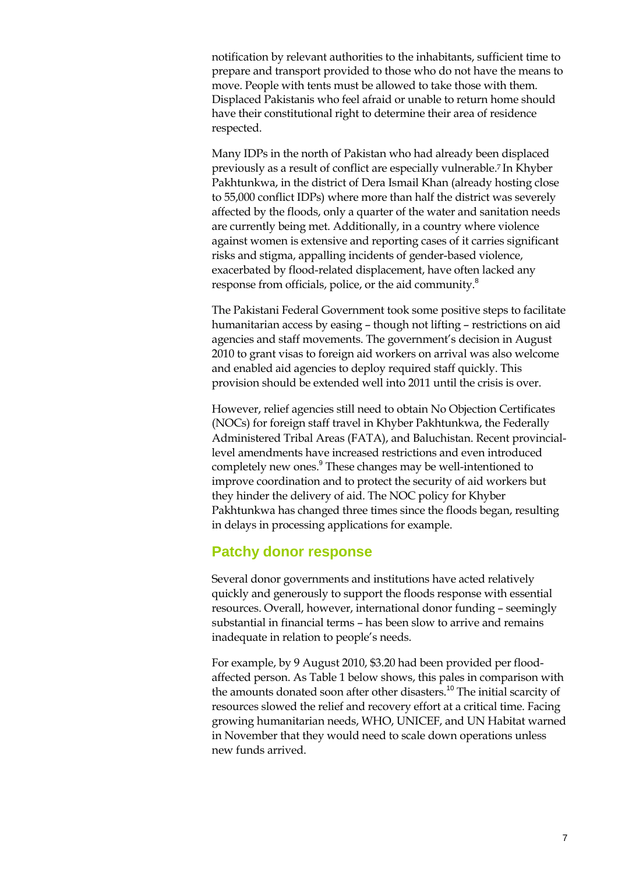notification by relevant authorities to the inhabitants, sufficient time to prepare and transport provided to those who do not have the means to move. People with tents must be allowed to take those with them. Displaced Pakistanis who feel afraid or unable to return home should have their constitutional right to determine their area of residence respected.

Many IDPs in the north of Pakistan who had already been displaced previously as a result of conflict are especially vulnerable.7 In Khyber Pakhtunkwa, in the district of Dera Ismail Khan (already hosting close to 55,000 conflict IDPs) where more than half the district was severely affected by the floods, only a quarter of the water and sanitation needs are currently being met. Additionally, in a country where violence against women is extensive and reporting cases of it carries significant risks and stigma, appalling incidents of gender-based violence, exacerbated by flood-related displacement, have often lacked any response from officials, police, or the aid community.<sup>8</sup>

The Pakistani Federal Government took some positive steps to facilitate humanitarian access by easing – though not lifting – restrictions on aid agencies and staff movements. The government's decision in August 2010 to grant visas to foreign aid workers on arrival was also welcome and enabled aid agencies to deploy required staff quickly. This provision should be extended well into 2011 until the crisis is over.

However, relief agencies still need to obtain No Objection Certificates (NOCs) for foreign staff travel in Khyber Pakhtunkwa, the Federally Administered Tribal Areas (FATA), and Baluchistan. Recent provinciallevel amendments have increased restrictions and even introduced completely new ones.<sup>9</sup> These changes may be well-intentioned to improve coordination and to protect the security of aid workers but they hinder the delivery of aid. The NOC policy for Khyber Pakhtunkwa has changed three times since the floods began, resulting in delays in processing applications for example.

#### **Patchy donor response**

Several donor governments and institutions have acted relatively quickly and generously to support the floods response with essential resources. Overall, however, international donor funding – seemingly substantial in financial terms – has been slow to arrive and remains inadequate in relation to people's needs.

For example, by 9 August 2010, \$3.20 had been provided per floodaffected person. As Table 1 below shows, this pales in comparison with the amounts donated soon after other disasters.<sup>10</sup> The initial scarcity of resources slowed the relief and recovery effort at a critical time. Facing growing humanitarian needs, WHO, UNICEF, and UN Habitat warned in November that they would need to scale down operations unless new funds arrived.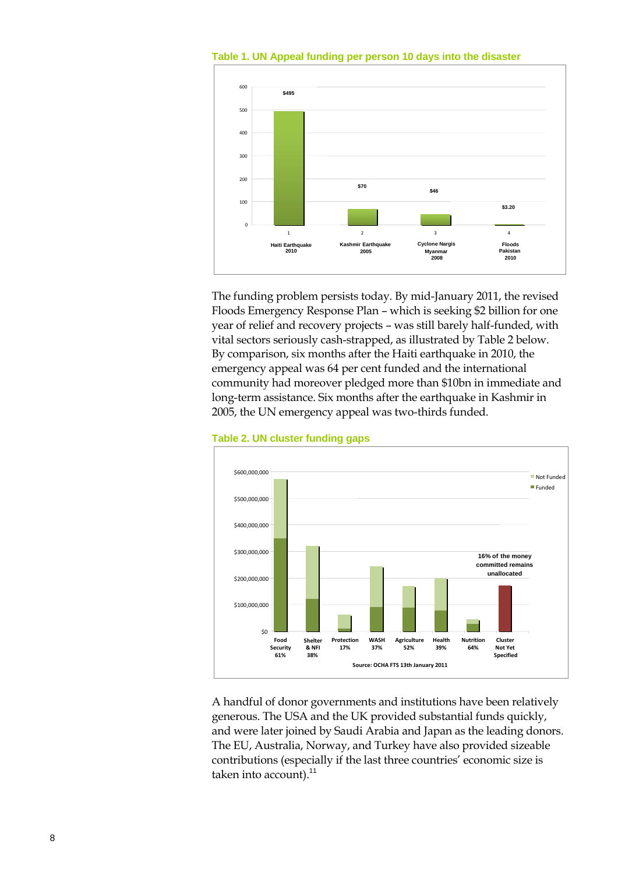

**Table 1. UN Appeal funding per person 10 days into the disaster**

The funding problem persists today. By mid-January 2011, the revised Floods Emergency Response Plan – which is seeking \$2 billion for one year of relief and recovery projects – was still barely half-funded, with vital sectors seriously cash-strapped, as illustrated by Table 2 below. By comparison, six months after the Haiti earthquake in 2010, the emergency appeal was 64 per cent funded and the international community had moreover pledged more than \$10bn in immediate and long-term assistance. Six months after the earthquake in Kashmir in 2005, the UN emergency appeal was two-thirds funded.



**Table 2. UN cluster funding gaps**

A handful of donor governments and institutions have been relatively generous. The USA and the UK provided substantial funds quickly, and were later joined by Saudi Arabia and Japan as the leading donors. The EU, Australia, Norway, and Turkey have also provided sizeable contributions (especially if the last three countries' economic size is taken into account).<sup>11</sup>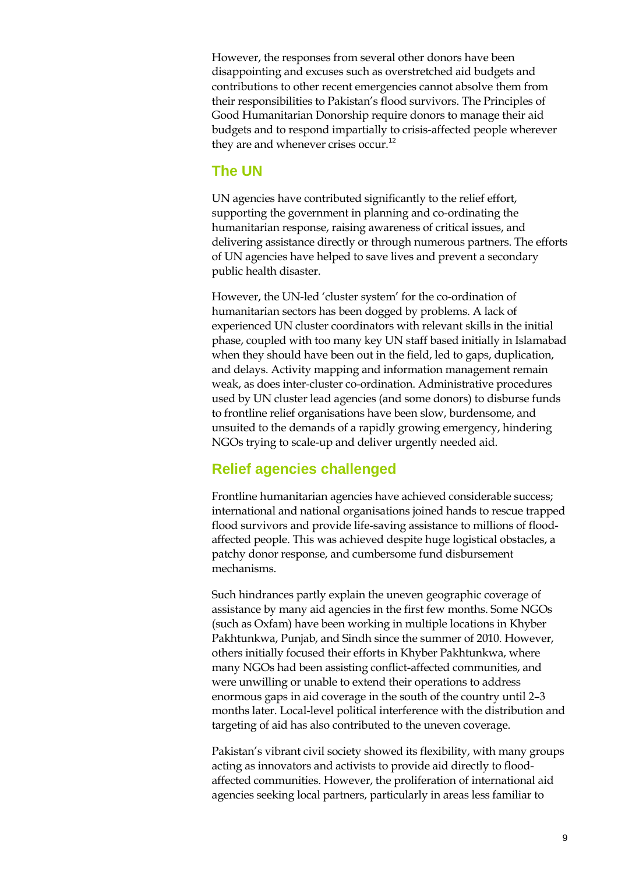However, the responses from several other donors have been disappointing and excuses such as overstretched aid budgets and contributions to other recent emergencies cannot absolve them from their responsibilities to Pakistan's flood survivors. The Principles of Good Humanitarian Donorship require donors to manage their aid budgets and to respond impartially to crisis-affected people wherever they are and whenever crises occur.<sup>12</sup>

### **The UN**

UN agencies have contributed significantly to the relief effort, supporting the government in planning and co-ordinating the humanitarian response, raising awareness of critical issues, and delivering assistance directly or through numerous partners. The efforts of UN agencies have helped to save lives and prevent a secondary public health disaster.

However, the UN-led 'cluster system' for the co-ordination of humanitarian sectors has been dogged by problems. A lack of experienced UN cluster coordinators with relevant skills in the initial phase, coupled with too many key UN staff based initially in Islamabad when they should have been out in the field, led to gaps, duplication, and delays. Activity mapping and information management remain weak, as does inter-cluster co-ordination. Administrative procedures used by UN cluster lead agencies (and some donors) to disburse funds to frontline relief organisations have been slow, burdensome, and unsuited to the demands of a rapidly growing emergency, hindering NGOs trying to scale-up and deliver urgently needed aid.

## **Relief agencies challenged**

Frontline humanitarian agencies have achieved considerable success; international and national organisations joined hands to rescue trapped flood survivors and provide life-saving assistance to millions of floodaffected people. This was achieved despite huge logistical obstacles, a patchy donor response, and cumbersome fund disbursement mechanisms.

Such hindrances partly explain the uneven geographic coverage of assistance by many aid agencies in the first few months. Some NGOs (such as Oxfam) have been working in multiple locations in Khyber Pakhtunkwa, Punjab, and Sindh since the summer of 2010. However, others initially focused their efforts in Khyber Pakhtunkwa, where many NGOs had been assisting conflict-affected communities, and were unwilling or unable to extend their operations to address enormous gaps in aid coverage in the south of the country until 2–3 months later. Local-level political interference with the distribution and targeting of aid has also contributed to the uneven coverage.

Pakistan's vibrant civil society showed its flexibility, with many groups acting as innovators and activists to provide aid directly to floodaffected communities. However, the proliferation of international aid agencies seeking local partners, particularly in areas less familiar to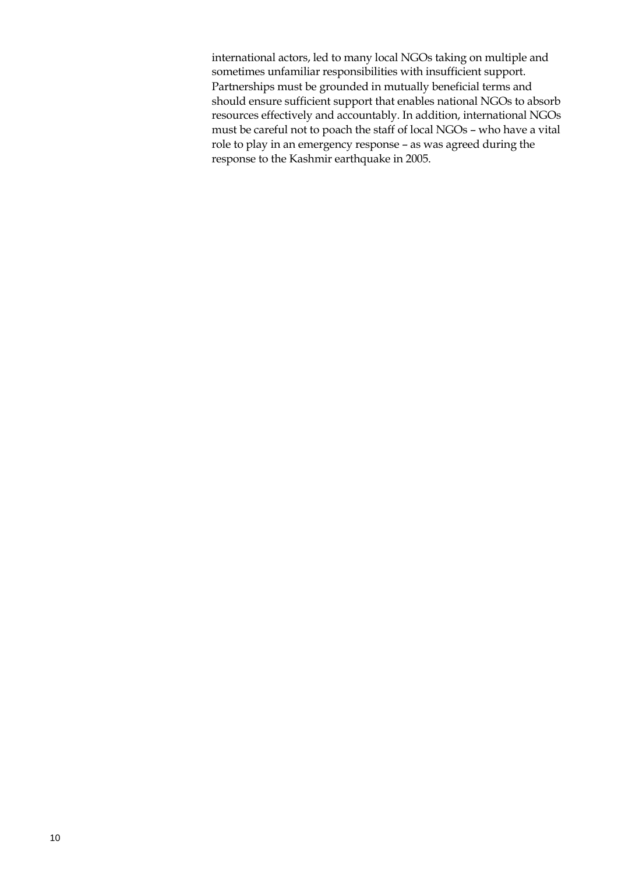international actors, led to many local NGOs taking on multiple and sometimes unfamiliar responsibilities with insufficient support. Partnerships must be grounded in mutually beneficial terms and should ensure sufficient support that enables national NGOs to absorb resources effectively and accountably. In addition, international NGOs must be careful not to poach the staff of local NGOs – who have a vital role to play in an emergency response – as was agreed during the response to the Kashmir earthquake in 2005.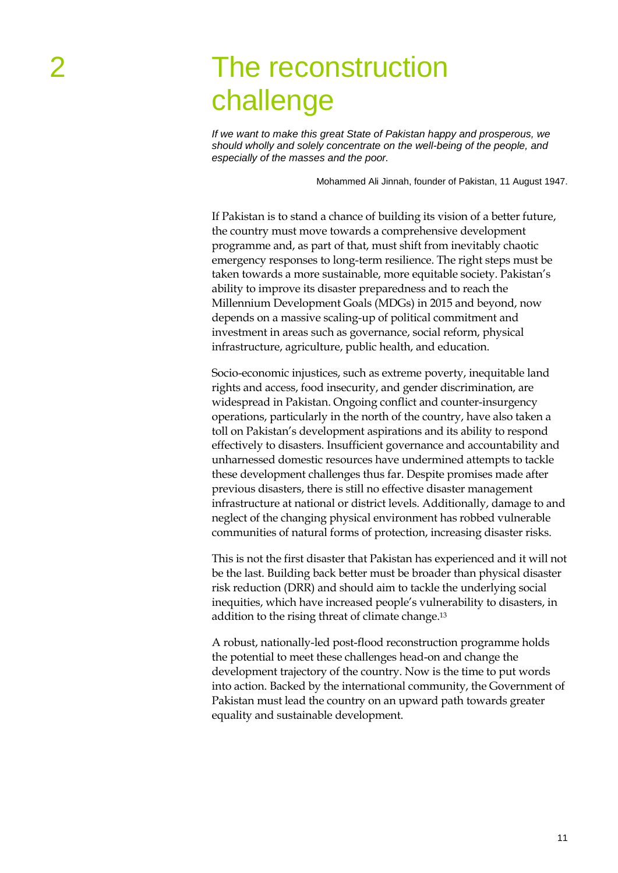# The reconstruction challenge

*If we want to make this great State of Pakistan happy and prosperous, we should wholly and solely concentrate on the well-being of the people, and especially of the masses and the poor.*

Mohammed Ali Jinnah, founder of Pakistan, 11 August 1947.

If Pakistan is to stand a chance of building its vision of a better future, the country must move towards a comprehensive development programme and, as part of that, must shift from inevitably chaotic emergency responses to long-term resilience. The right steps must be taken towards a more sustainable, more equitable society. Pakistan's ability to improve its disaster preparedness and to reach the Millennium Development Goals (MDGs) in 2015 and beyond, now depends on a massive scaling-up of political commitment and investment in areas such as governance, social reform, physical infrastructure, agriculture, public health, and education.

Socio-economic injustices, such as extreme poverty, inequitable land rights and access, food insecurity, and gender discrimination, are widespread in Pakistan. Ongoing conflict and counter-insurgency operations, particularly in the north of the country, have also taken a toll on Pakistan's development aspirations and its ability to respond effectively to disasters. Insufficient governance and accountability and unharnessed domestic resources have undermined attempts to tackle these development challenges thus far. Despite promises made after previous disasters, there is still no effective disaster management infrastructure at national or district levels. Additionally, damage to and neglect of the changing physical environment has robbed vulnerable communities of natural forms of protection, increasing disaster risks.

This is not the first disaster that Pakistan has experienced and it will not be the last. Building back better must be broader than physical disaster risk reduction (DRR) and should aim to tackle the underlying social inequities, which have increased people's vulnerability to disasters, in addition to the rising threat of climate change. 13

A robust, nationally-led post-flood reconstruction programme holds the potential to meet these challenges head-on and change the development trajectory of the country. Now is the time to put words into action. Backed by the international community, the Government of Pakistan must lead the country on an upward path towards greater equality and sustainable development.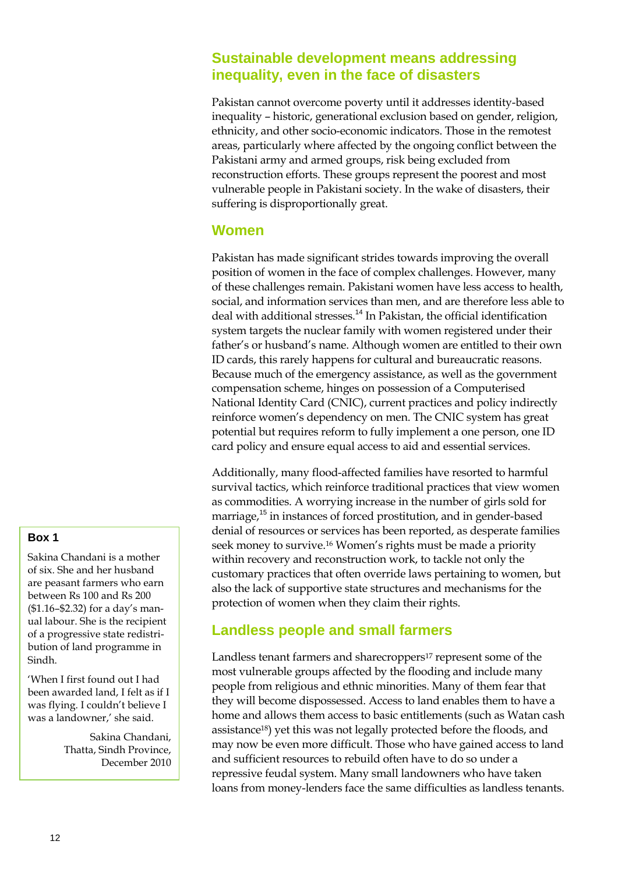### **Sustainable development means addressing inequality, even in the face of disasters**

Pakistan cannot overcome poverty until it addresses identity-based inequality – historic, generational exclusion based on gender, religion, ethnicity, and other socio-economic indicators. Those in the remotest areas, particularly where affected by the ongoing conflict between the Pakistani army and armed groups, risk being excluded from reconstruction efforts. These groups represent the poorest and most vulnerable people in Pakistani society. In the wake of disasters, their suffering is disproportionally great.

#### **Women**

Pakistan has made significant strides towards improving the overall position of women in the face of complex challenges. However, many of these challenges remain. Pakistani women have less access to health, social, and information services than men, and are therefore less able to deal with additional stresses.<sup>14</sup> In Pakistan, the official identification system targets the nuclear family with women registered under their father's or husband's name. Although women are entitled to their own ID cards, this rarely happens for cultural and bureaucratic reasons. Because much of the emergency assistance, as well as the government compensation scheme, hinges on possession of a Computerised National Identity Card (CNIC), current practices and policy indirectly reinforce women's dependency on men. The CNIC system has great potential but requires reform to fully implement a one person, one ID card policy and ensure equal access to aid and essential services.

Additionally, many flood-affected families have resorted to harmful survival tactics, which reinforce traditional practices that view women as commodities. A worrying increase in the number of girls sold for marriage,<sup>15</sup> in instances of forced prostitution, and in gender-based denial of resources or services has been reported, as desperate families seek money to survive.<sup>16</sup> Women's rights must be made a priority within recovery and reconstruction work, to tackle not only the customary practices that often override laws pertaining to women, but also the lack of supportive state structures and mechanisms for the protection of women when they claim their rights.

## **Landless people and small farmers**

Landless tenant farmers and sharecroppers<sup>17</sup> represent some of the most vulnerable groups affected by the flooding and include many people from religious and ethnic minorities. Many of them fear that they will become dispossessed. Access to land enables them to have a home and allows them access to basic entitlements (such as Watan cash assistance18) yet this was not legally protected before the floods, and may now be even more difficult. Those who have gained access to land and sufficient resources to rebuild often have to do so under a repressive feudal system. Many small landowners who have taken loans from money-lenders face the same difficulties as landless tenants.

#### **Box 1**

Sakina Chandani is a mother of six. She and her husband are peasant farmers who earn between Rs 100 and Rs 200 (\$1.16–\$2.32) for a day's manual labour. She is the recipient of a progressive state redistribution of land programme in Sindh.

'When I first found out I had been awarded land, I felt as if I was flying. I couldn't believe I was a landowner,' she said.

> Sakina Chandani, Thatta, Sindh Province, December 2010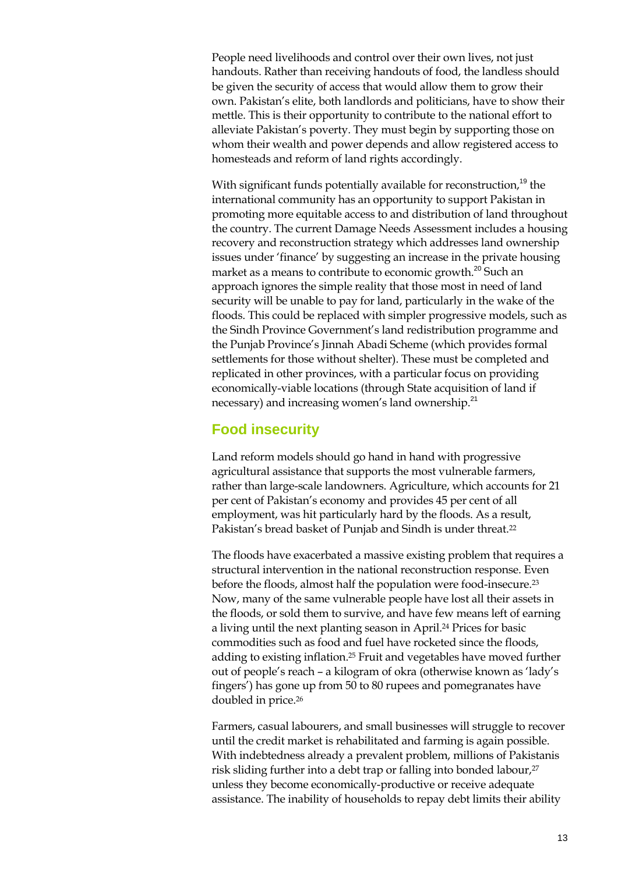People need livelihoods and control over their own lives, not just handouts. Rather than receiving handouts of food, the landless should be given the security of access that would allow them to grow their own. Pakistan's elite, both landlords and politicians, have to show their mettle. This is their opportunity to contribute to the national effort to alleviate Pakistan's poverty. They must begin by supporting those on whom their wealth and power depends and allow registered access to homesteads and reform of land rights accordingly.

With significant funds potentially available for reconstruction,<sup>19</sup> the international community has an opportunity to support Pakistan in promoting more equitable access to and distribution of land throughout the country. The current Damage Needs Assessment includes a housing recovery and reconstruction strategy which addresses land ownership issues under 'finance' by suggesting an increase in the private housing market as a means to contribute to economic growth.<sup>20</sup> Such an approach ignores the simple reality that those most in need of land security will be unable to pay for land, particularly in the wake of the floods. This could be replaced with simpler progressive models, such as the Sindh Province Government's land redistribution programme and the Punjab Province's Jinnah Abadi Scheme (which provides formal settlements for those without shelter). These must be completed and replicated in other provinces, with a particular focus on providing economically-viable locations (through State acquisition of land if necessary) and increasing women's land ownership.<sup>21</sup>

#### **Food insecurity**

Land reform models should go hand in hand with progressive agricultural assistance that supports the most vulnerable farmers, rather than large-scale landowners. Agriculture, which accounts for 21 per cent of Pakistan's economy and provides 45 per cent of all employment, was hit particularly hard by the floods. As a result, Pakistan's bread basket of Punjab and Sindh is under threat.<sup>22</sup>

The floods have exacerbated a massive existing problem that requires a structural intervention in the national reconstruction response. Even before the floods, almost half the population were food-insecure.23 Now, many of the same vulnerable people have lost all their assets in the floods, or sold them to survive, and have few means left of earning a living until the next planting season in April.24 Prices for basic commodities such as food and fuel have rocketed since the floods, adding to existing inflation.25 Fruit and vegetables have moved further out of people's reach – a kilogram of okra (otherwise known as 'lady's fingers') has gone up from 50 to 80 rupees and pomegranates have doubled in price.26

Farmers, casual labourers, and small businesses will struggle to recover until the credit market is rehabilitated and farming is again possible. With indebtedness already a prevalent problem, millions of Pakistanis risk sliding further into a debt trap or falling into bonded labour,<sup>27</sup> unless they become economically-productive or receive adequate assistance. The inability of households to repay debt limits their ability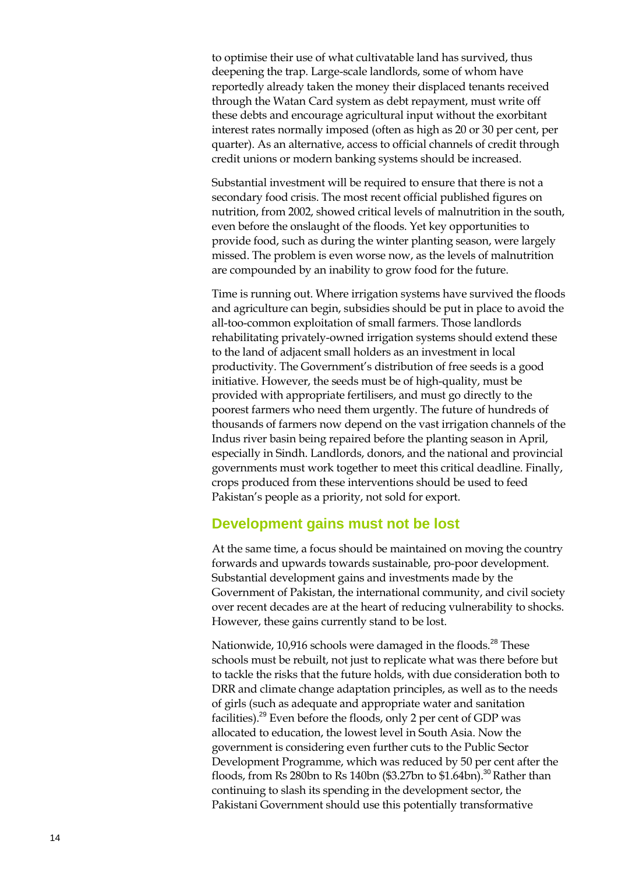to optimise their use of what cultivatable land has survived, thus deepening the trap. Large -scale landlords, some of whom have reportedly already taken the money their displaced tenants received through the Watan Card system as debt repayment, must write off these debts and encourage agricultural input without the exorbitant interest rates normally imposed (often as high as 20 or 30 per cent , per quarter). As an alternative, access to official channels of credit through credit unions or modern banking systems should be increased.

Substantial investment will be required to ensure that there is not a secondary food crisis. The most recent official published figures on nutrition, from 2002, showed critical levels of malnutrition in the south, even before the onslaught of the floods. Yet key opportunities to provide food, such as during the winter planting season, were largely missed. The problem is even worse now, as the levels of malnutrition are compounded by an inability to grow food for the future.

Time is running out. Where irrigation systems have survived the floods and agriculture can begin, subsidies should be put in place to avoid the all -too -common exploitation of small farmers. Those landlords rehabilitating privately -owned irrigation systems should extend these to the land of adjacent small holders as an investment in local productivity. The Government's distribution of free seeds is a good initiative. However, the seeds must be of high -quality, must be provided with appropriate fertilisers, and must go directly to the poorest farmers who need them urgently. The future of hundreds of thousands of farmers now depend on the vast irrigation channels of the Indus river basin being repaired before the planting season in April, especially in Sindh. Landlords, donors, and the national and provincial governments must work together to meet this critical deadline. Finally, crops produced from these interventions should be used to feed Pakistan's people as a priority, not sold for export.

#### **Development gains must not be lost**

At the same time, a focus should be maintained on moving the country forwards and upwards towards sustainable, pro-poor development. Substantial development gains and investments made by the Government of Pakistan, the international community, and civil society over recent decades are at the heart of reducing vulnerability to shocks. However, these gains currently stand to be lost.

Nationwide, 10,916 schools were damaged in the floods.<sup>28</sup> These schools must be rebuilt, not just to replicate what was there before but to tackle the risks that the future holds, with due consideration both to DRR and climate change adaptation principles, as well as to the needs of girls (such as adequate and appropriate water and sanitation facilities).<sup>29</sup> Even before the floods, only 2 per cent of GDP was allocated to education, the lowest level in South Asia. Now the government is considering even further cuts to the Public Sector Development Programme, which was reduced by 50 per cent after the floods, from Rs 280bn to Rs 140bn (\$3.27bn to \$1.64bn).<sup>30</sup> Rather than continuing to slas h its spending in the development sector, the Pakistani Government should use this potentially transformative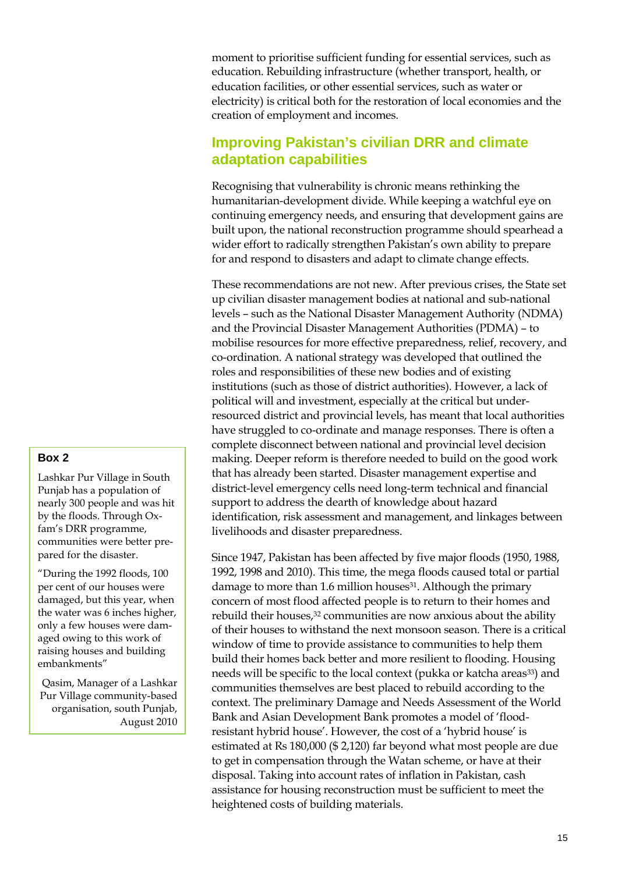moment to prioritise sufficient funding for essential services, such as education. Rebuilding infrastructure (whether transport, health, or education facilities, or other essential services, such as water or electricity) is critical both for the restoration of local economies and the creation of employment and incomes.

### **Improving Pakistan's civilian DRR and climate adaptation capabilities**

Recognising that vulnerability is chronic means rethinking the humanitarian-development divide. While keeping a watchful eye on continuing emergency needs, and ensuring that development gains are built upon, the national reconstruction programme should spearhead a wider effort to radically strengthen Pakistan's own ability to prepare for and respond to disasters and adapt to climate change effects.

These recommendations are not new. After previous crises, the State set up civilian disaster management bodies at national and sub-national levels – such as the National Disaster Management Authority (NDMA) and the Provincial Disaster Management Authorities (PDMA) – to mobilise resources for more effective preparedness, relief, recovery, and co-ordination. A national strategy was developed that outlined the roles and responsibilities of these new bodies and of existing institutions (such as those of district authorities). However, a lack of political will and investment, especially at the critical but underresourced district and provincial levels, has meant that local authorities have struggled to co-ordinate and manage responses. There is often a complete disconnect between national and provincial level decision making. Deeper reform is therefore needed to build on the good work that has already been started. Disaster management expertise and district-level emergency cells need long-term technical and financial support to address the dearth of knowledge about hazard identification, risk assessment and management, and linkages between livelihoods and disaster preparedness.

Since 1947, Pakistan has been affected by five major floods (1950, 1988, 1992, 1998 and 2010). This time, the mega floods caused total or partial damage to more than 1.6 million houses<sup>31</sup>. Although the primary concern of most flood affected people is to return to their homes and rebuild their houses,32 communities are now anxious about the ability of their houses to withstand the next monsoon season. There is a critical window of time to provide assistance to communities to help them build their homes back better and more resilient to flooding. Housing needs will be specific to the local context (pukka or katcha areas<sup>33</sup>) and communities themselves are best placed to rebuild according to the context. The preliminary Damage and Needs Assessment of the World Bank and Asian Development Bank promotes a model of 'floodresistant hybrid house'. However, the cost of a 'hybrid house' is estimated at Rs 180,000 (\$ 2,120) far beyond what most people are due to get in compensation through the Watan scheme, or have at their disposal. Taking into account rates of inflation in Pakistan, cash assistance for housing reconstruction must be sufficient to meet the heightened costs of building materials.

#### **Box 2**

Lashkar Pur Village in South Punjab has a population of nearly 300 people and was hit by the floods. Through Oxfam's DRR programme, communities were better prepared for the disaster.

"During the 1992 floods, 100 per cent of our houses were damaged, but this year, when the water was 6 inches higher, only a few houses were damaged owing to this work of raising houses and building embankments"

Qasim, Manager of a Lashkar Pur Village community-based organisation, south Punjab, August 2010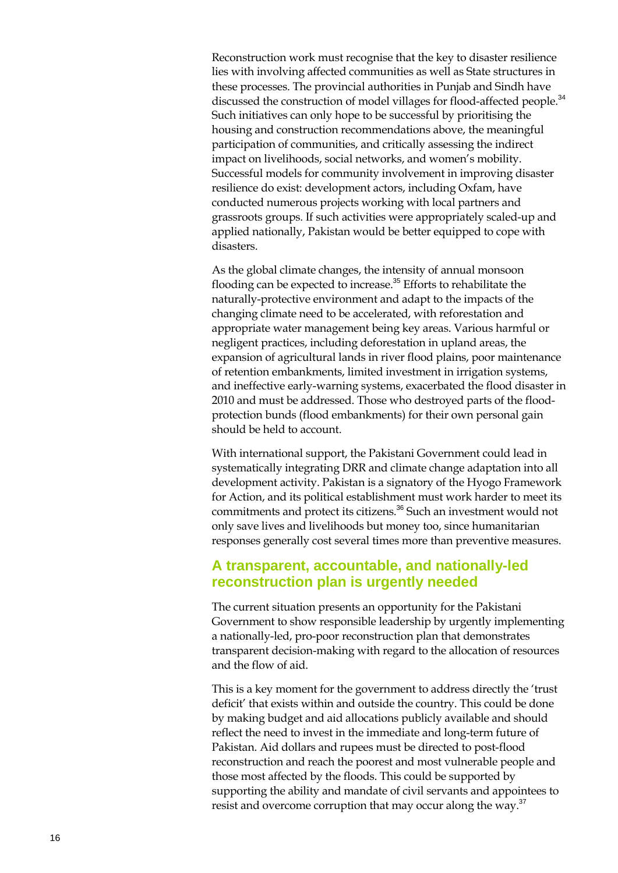Reconstruction work must recognise that the key to disaster resilience lies with involving affected communities as well as State structures in these processes. The provincial authorities in Punjab and Sindh have discussed the construction of model villages for flood-affected people.<sup>34</sup> Such initiatives can only hope to be successful by prioritising the housing and construction recommendations above, the meaningful participation of communities , and critically assessing the indirect impact on livelihoods, social networks, and women's mobility. Successful models for community involvement in improving disaster resilience do exist: development actors, including Oxfam, have conducted numerous projects working with local partners and grassroots groups. If such activities were appropriately scaled -up and applied nationally, Pakistan would be better equipped to cope with disa sters.

As the global climate changes, the intensity of annual monsoon flooding can be expected to increase.<sup>35</sup> Efforts to rehabilitate the naturally -protective environment and adapt to the impacts of the changing climate need to be accelerated, with reforestation and appropriate water management being key areas . Various harmful or negligent practices, including deforestation in upland areas, the expansion of agricultural lands in river flood plains, poor maintenance of retention embankments, limited investment in irrigation systems, and ineffective early -warning systems, exacerbated the flood disaster in 2010 and must be addressed. Those who destroyed parts of the flood protection bunds (flood embankments) for their own personal gain should be held to account.

With international support, the Pakistani Government could lead in systematically integrating DRR and climate change adaptation into all development activity. Pakistan is a signatory of the Hyogo Framework for Action, and its political establishment must work harder to meet its commitments and protect its citizens.<sup>36</sup> Such an investment would not only save lives and livelihoods but money too, since humanitarian responses ge nerally cost several times more than preventive measures.

#### **A transparent, accountable, and nationally -led reconstruction plan is urgently needed**

The current situation presents an opportunity for the Pakistani Government to show responsible leadership by urgently implementing a nationally-led, pro-poor reconstruction plan that demonstrates transparent decision -making with regard to the allocation of resources and the flow of aid.

This is a key moment for the government to address directly the 'trust deficit ' that exists within and outside the country. This could be done by making budget and aid allocations publicly available and should reflect the need to invest in the immediate and long-term future of Pakistan. Aid dollars and rupees must be directed to post - flood reconstruction and reach the poorest and most vulnerable people and those most affected by the floods. This could be supported by supporting the ability and mandate of civil servants and appointees to resist and overcome corruption that may occur along the way.<sup>37</sup>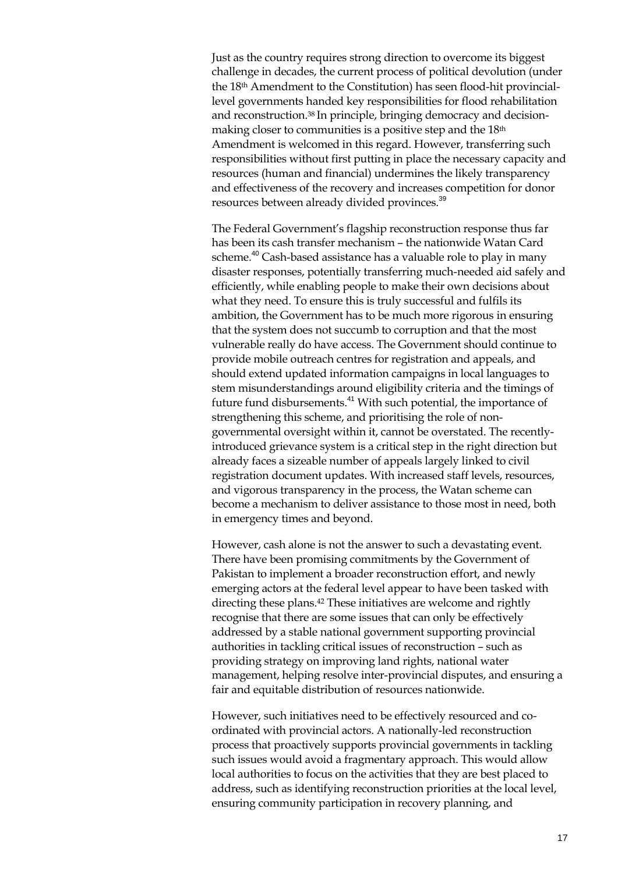Just as the country requires strong direction to overcome its biggest challenge in decades, the current process of political devolution (under the 18th Amendment to the Constitution) has seen flood-hit provinciallevel governments handed key responsibilities for flood rehabilitation and reconstruction.38 In principle, bringing democracy and decisionmaking closer to communities is a positive step and the 18th Amendment is welcomed in this regard. However, transferring such responsibilities without first putting in place the necessary capacity and resources (human and financial) undermines the likely transparency and effectiveness of the recovery and increases competition for donor resources between already divided provinces.<sup>39</sup>

The Federal Government's flagship reconstruction response thus far has been its cash transfer mechanism – the nationwide Watan Card scheme.<sup>40</sup> Cash-based assistance has a valuable role to play in many disaster responses, potentially transferring much-needed aid safely and efficiently, while enabling people to make their own decisions about what they need. To ensure this is truly successful and fulfils its ambition, the Government has to be much more rigorous in ensuring that the system does not succumb to corruption and that the most vulnerable really do have access. The Government should continue to provide mobile outreach centres for registration and appeals, and should extend updated information campaigns in local languages to stem misunderstandings around eligibility criteria and the timings of future fund disbursements.<sup>41</sup> With such potential, the importance of strengthening this scheme, and prioritising the role of nongovernmental oversight within it, cannot be overstated. The recentlyintroduced grievance system is a critical step in the right direction but already faces a sizeable number of appeals largely linked to civil registration document updates. With increased staff levels, resources, and vigorous transparency in the process, the Watan scheme can become a mechanism to deliver assistance to those most in need, both in emergency times and beyond.

However, cash alone is not the answer to such a devastating event. There have been promising commitments by the Government of Pakistan to implement a broader reconstruction effort, and newly emerging actors at the federal level appear to have been tasked with directing these plans.42 These initiatives are welcome and rightly recognise that there are some issues that can only be effectively addressed by a stable national government supporting provincial authorities in tackling critical issues of reconstruction – such as providing strategy on improving land rights, national water management, helping resolve inter-provincial disputes, and ensuring a fair and equitable distribution of resources nationwide.

However, such initiatives need to be effectively resourced and coordinated with provincial actors. A nationally-led reconstruction process that proactively supports provincial governments in tackling such issues would avoid a fragmentary approach. This would allow local authorities to focus on the activities that they are best placed to address, such as identifying reconstruction priorities at the local level, ensuring community participation in recovery planning, and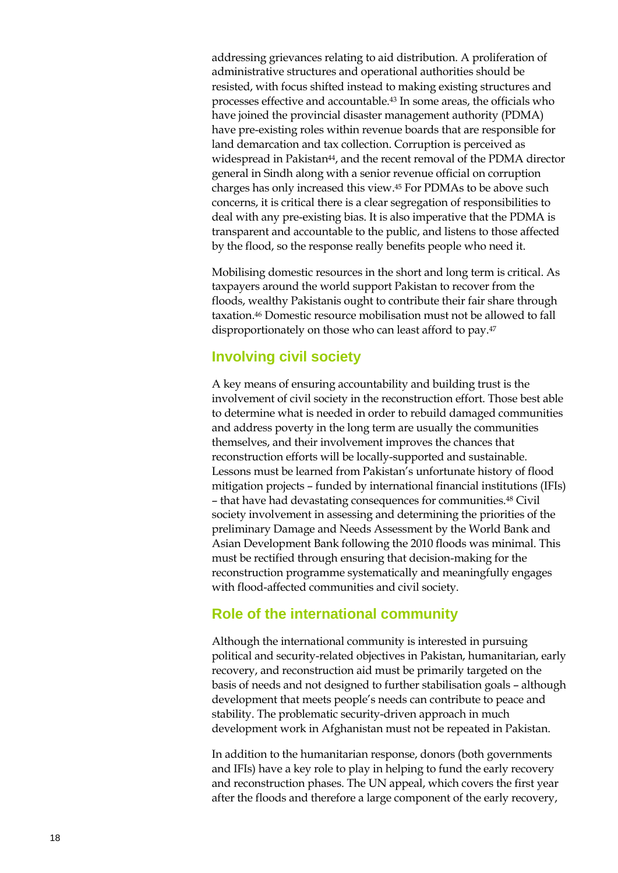addressing grievances relating to aid distribution. A proliferation of administrative structures and operational authorities should be resisted, with focus shifted instead to making existing structures and processes effective and accountable.43 In some areas, the officials who have joined the provincial disaster management authority (PDMA) have pre-existing roles within revenue boards that are responsible for land demarcation and tax collection. Corruption is perceived as widespread in Pakistan<sup>44</sup>, and the recent removal of the PDMA director general in Sindh along with a senior revenue official on corruption charges has only increased this view. <sup>45</sup> For PDMAs to be above such concerns, it is critical there is a clear segregation of responsibilities to deal with any pre-existing bias. It is also imperative that the PDMA is transparent and accountable to the public, and listens to those affected by the flood, so the response really benefits people who need it.

Mobilising domestic resources in the short and long term is critical. As taxpayers around the world support Pakistan to recover from the floods, wealthy Pakistanis ought to contribute their fair share through taxation.46 Domestic resource mobilisation must not be allowed to fall disproportionately on those who can least afford to pay.47

### **Involving civil society**

A key means of ensuring accountability and building trust is the involvement of civil society in the reconstruction effort. Those best able to determine what is needed in order to rebuild damaged communities and address poverty in the long term are usually the communities themselves, and their involvement improves the chances that reconstruction efforts will be locally-supported and sustainable. Lessons must be learned from Pakistan's unfortunate history of flood mitigation projects – funded by international financial institutions (IFIs) – that have had devastating consequences for communities.48 Civil society involvement in assessing and determining the priorities of the preliminary Damage and Needs Assessment by the World Bank and Asian Development Bank following the 2010 floods was minimal. This must be rectified through ensuring that decision-making for the reconstruction programme systematically and meaningfully engages with flood-affected communities and civil society.

### **Role of the international community**

Although the international community is interested in pursuing political and security-related objectives in Pakistan, humanitarian, early recovery, and reconstruction aid must be primarily targeted on the basis of needs and not designed to further stabilisation goals – although development that meets people's needs can contribute to peace and stability. The problematic security-driven approach in much development work in Afghanistan must not be repeated in Pakistan.

In addition to the humanitarian response, donors (both governments and IFIs) have a key role to play in helping to fund the early recovery and reconstruction phases. The UN appeal, which covers the first year after the floods and therefore a large component of the early recovery,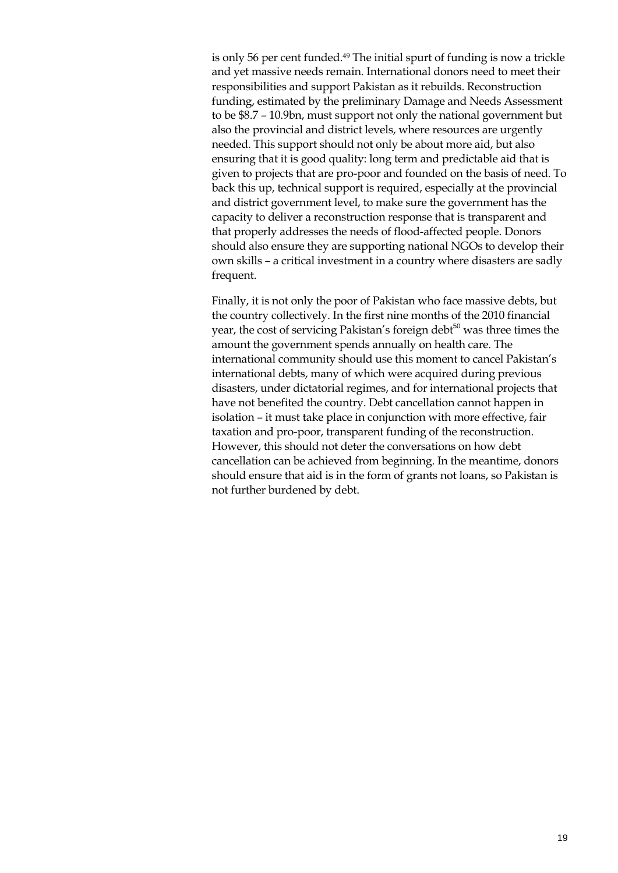is only 56 per cent funded.49 The initial spurt of funding is now a trickle and yet massive needs remain. International donors need to meet their responsibilities and support Pakistan as it rebuilds. Reconstruction funding, estimated by the preliminary Damage and Needs Assessment to be \$8.7 – 10.9bn, must support not only the national government but also the provincial and district levels, where resources are urgently needed. This support should not only be about more aid, but also ensuring that it is good quality: long term and predictable aid that is given to projects that are pro-poor and founded on the basis of need. To back this up, technical support is required, especially at the provincial and district government level, to make sure the government has the capacity to deliver a reconstruction response that is transparent and that properly addresses the needs of flood-affected people. Donors should also ensure they are supporting national NGOs to develop their own skills – a critical investment in a country where disasters are sadly frequent.

Finally, it is not only the poor of Pakistan who face massive debts, but the country collectively. In the first nine months of the 2010 financial year, the cost of servicing Pakistan's foreign debt<sup>50</sup> was three times the amount the government spends annually on health care. The international community should use this moment to cancel Pakistan's international debts, many of which were acquired during previous disasters, under dictatorial regimes, and for international projects that have not benefited the country. Debt cancellation cannot happen in isolation – it must take place in conjunction with more effective, fair taxation and pro-poor, transparent funding of the reconstruction. However, this should not deter the conversations on how debt cancellation can be achieved from beginning. In the meantime, donors should ensure that aid is in the form of grants not loans, so Pakistan is not further burdened by debt.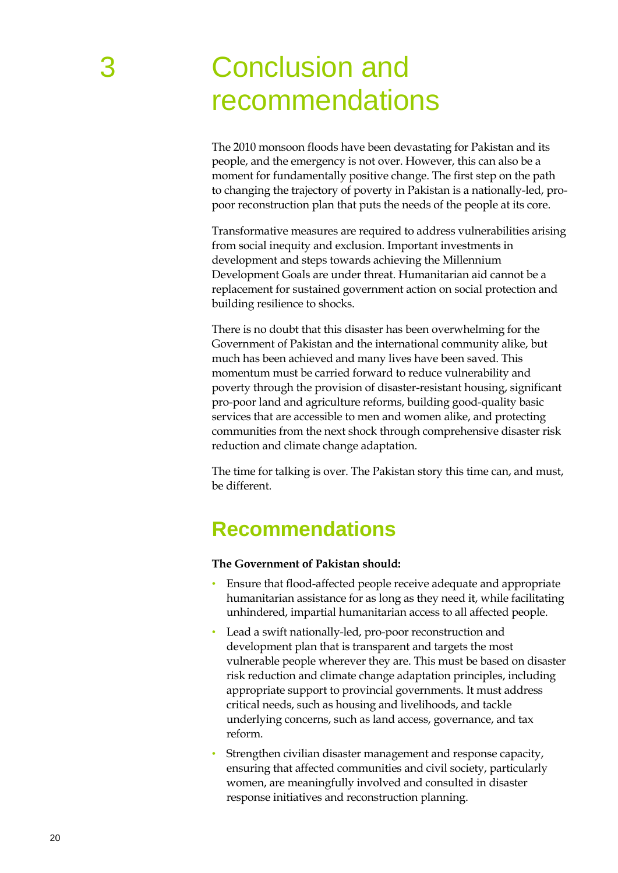# **Conclusion and** recommendations

The 2010 monsoon floods have been devastating for Pakistan and its people, and the emergency is not over. However, this can also be a moment for fundamentally positive change. The first step on the path to changing the trajectory of poverty in Pakistan is a nationally-led, propoor reconstruction plan that puts the needs of the people at its core.

Transformative measures are required to address vulnerabilities arising from social inequity and exclusion. Important investments in development and steps towards achieving the Millennium Development Goals are under threat. Humanitarian aid cannot be a replacement for sustained government action on social protection and building resilience to shocks.

There is no doubt that this disaster has been overwhelming for the Government of Pakistan and the international community alike, but much has been achieved and many lives have been saved. This momentum must be carried forward to reduce vulnerability and poverty through the provision of disaster-resistant housing, significant pro-poor land and agriculture reforms, building good-quality basic services that are accessible to men and women alike, and protecting communities from the next shock through comprehensive disaster risk reduction and climate change adaptation.

The time for talking is over. The Pakistan story this time can, and must, be different.

## **Recommendations**

**The Government of Pakistan should:**

- Ensure that flood-affected people receive adequate and appropriate humanitarian assistance for as long as they need it, while facilitating unhindered, impartial humanitarian access to all affected people.
- Lead a swift nationally-led, pro-poor reconstruction and development plan that is transparent and targets the most vulnerable people wherever they are. This must be based on disaster risk reduction and climate change adaptation principles, including appropriate support to provincial governments. It must address critical needs, such as housing and livelihoods, and tackle underlying concerns, such as land access, governance, and tax reform.
- Strengthen civilian disaster management and response capacity, ensuring that affected communities and civil society, particularly women, are meaningfully involved and consulted in disaster response initiatives and reconstruction planning.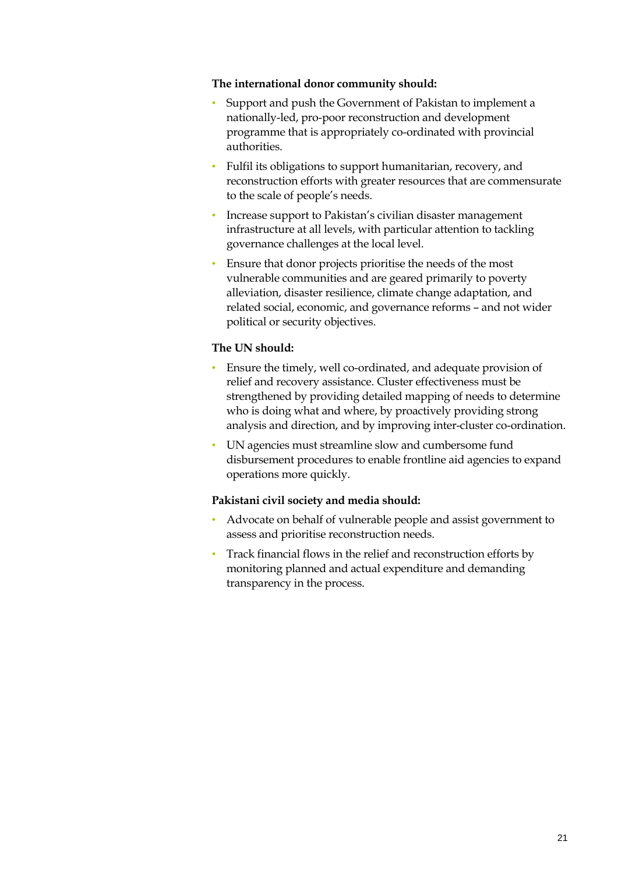#### **The international donor community should:**

- Support and push the Government of Pakistan to implement a nationally-led, pro-poor reconstruction and development programme that is appropriately co-ordinated with provincial authorities.
- Fulfil its obligations to support humanitarian, recovery, and reconstruction efforts with greater resources that are commensurate to the scale of people's needs.
- Increase support to Pakistan's civilian disaster management infrastructure at all levels, with particular attention to tackling governance challenges at the local level.
- Ensure that donor projects prioritise the needs of the most vulnerable communities and are geared primarily to poverty alleviation, disaster resilience, climate change adaptation, and related social, economic, and governance reforms – and not wider political or security objectives.

#### **The UN should:**

- Ensure the timely, well co-ordinated, and adequate provision of relief and recovery assistance. Cluster effectiveness must be strengthened by providing detailed mapping of needs to determine who is doing what and where, by proactively providing strong analysis and direction, and by improving inter-cluster co-ordination.
- UN agencies must streamline slow and cumbersome fund disbursement procedures to enable frontline aid agencies to expand operations more quickly.

#### **Pakistani civil society and media should:**

- Advocate on behalf of vulnerable people and assist government to assess and prioritise reconstruction needs.
- Track financial flows in the relief and reconstruction efforts by monitoring planned and actual expenditure and demanding transparency in the process.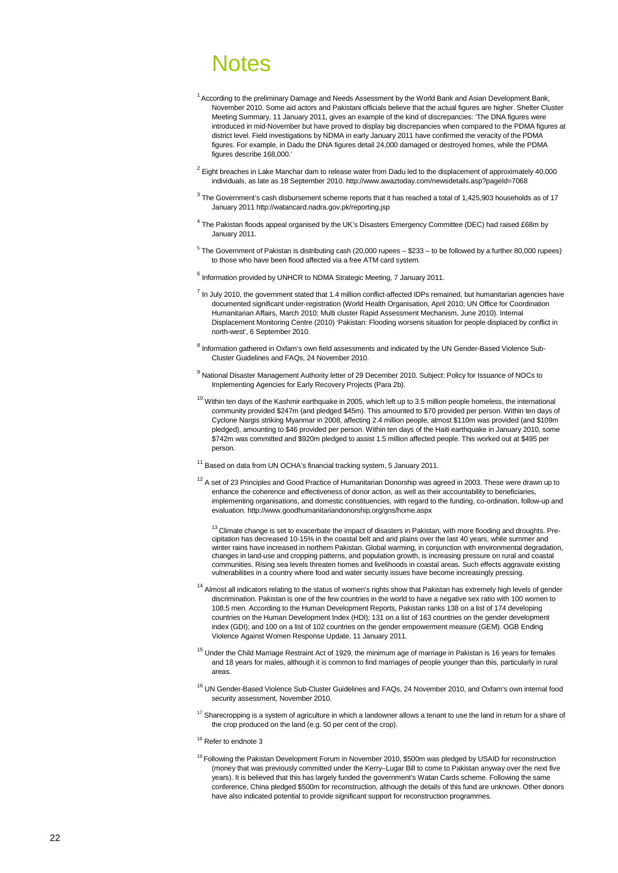## Notes

- <span id="page-21-0"></span> $^{\rm 1}$  According to the preliminary Damage and Needs Assessment by the World Bank and Asian Development Bank, November 2010. Some aid actors and Pakistani officials believe that the actual figures are higher. Shelter Cluster Meeting Summary, 11 January 2011, gives an example of the kind of discrepancies: 'The DNA figures were introduced in mid-November but have proved to display big discrepancies when compared to the PDMA figures at district level. Field investigations by NDMA in early January 2011 have confirmed the veracity of the PDMA figures. For example, in Dadu the DNA figures detail 24,000 damaged or destroyed homes, while the PDMA figures describe 168,000.'
- $2$  Eight breaches in Lake Manchar dam to release water from Dadu led to the displacement of approximately 40,000 individuals, as late as 18 September 2010. http://www.awaztoday.com/newsdetails.asp?pageId=7068
- $^3$  The Government's cash disbursement scheme reports that it has reached a total of 1,425,903 households as of 17 January 2011 http://watancard.nadra.gov.pk/reporting.jsp
- $^4$  The Pakistan floods appeal organised by the UK's Disasters Emergency Committee (DEC) had raised £68m by January 2011.
- $5$  The Government of Pakistan is distributing cash (20,000 rupees \$233 to be followed by a further 80,000 rupees) to those who have been flood affected via a free ATM card system.
- <sup>6</sup> Information provided by UNHCR to NDMA Strategic Meeting, 7 January 2011.
- $^7$  In July 2010, the government stated that 1.4 million conflict-affected IDPs remained, but humanitarian agencies have documented significant under-registration (World Health Organisation, April 2010; UN Office for Coordination Humanitarian Affairs, March 2010; Multi cluster Rapid Assessment Mechanism, June 2010). Internal Displacement Monitoring Centre (2010) 'Pakistan: Flooding worsens situation for people displaced by conflict in north-west', 6 September 2010.
- $^8$  Information gathered in Oxfam's own field assessments and indicated by the UN Gender-Based Violence Sub-Cluster Guidelines and FAQs, 24 November 2010.
- <sup>9</sup> National Disaster Management Authority letter of 29 December 2010. Subject: Policy for Issuance of NOCs to Implementing Agencies for Early Recovery Projects (Para 2b).
- $10$  Within ten days of the Kashmir earthquake in 2005, which left up to 3.5 million people homeless, the international community provided \$247m (and pledged \$45m). This amounted to \$70 provided per person. Within ten days of Cyclone Nargis striking Myanmar in 2008, affecting 2.4 million people, almost \$110m was provided (and \$109m pledged), amounting to \$46 provided per person. Within ten days of the Haiti earthquake in January 2010, some \$742m was committed and \$920m pledged to assist 1.5 million affected people. This worked out at \$495 per person.
- $11$  Based on data from UN OCHA's financial tracking system, 5 January 2011.
- $12$  A set of 23 Principles and Good Practice of Humanitarian Donorship was agreed in 2003. These were drawn up to enhance the coherence and effectiveness of donor action, as well as their accountability to beneficiaries, implementing organisations, and domestic constituencies, with regard to the funding, co-ordination, follow-up and evaluation. http://www.goodhumanitariandonorship.org/gns/home.aspx

 $13$  Climate change is set to exacerbate the impact of disasters in Pakistan, with more flooding and droughts. Precipitation has decreased 10-15% in the coastal belt and arid plains over the last 40 years, while summer and winter rains have increased in northern Pakistan. Global warming, in conjunction with environmental degradation, changes in land-use and cropping patterns, and population growth, is increasing pressure on rural and coastal communities. Rising sea levels threaten homes and livelihoods in coastal areas. Such effects aggravate existing vulnerabilities in a country where food and water security issues have become increasingly pressing.

- <sup>14</sup> Almost all indicators relating to the status of women's rights show that Pakistan has extremely high levels of gender discrimination. Pakistan is one of the few countries in the world to have a negative sex ratio with 100 women to 108.5 men. According to the Human Development Reports, Pakistan ranks 138 on a list of 174 developing countries on the Human Development Index (HDI); 131 on a list of 163 countries on the gender development index (GDI); and 100 on a list of 102 countries on the gender empowerment measure (GEM). OGB Ending Violence Against Women Response Update, 11 January 2011.
- <sup>15</sup> Under the Child Marriage Restraint Act of 1929, the minimum age of marriage in Pakistan is 16 years for females and 18 years for males, although it is common to find marriages of people younger than this, particularly in rural areas.
- <sup>16</sup> UN Gender-Based Violence Sub-Cluster Guidelines and FAQs, 24 November 2010, and Oxfam's own internal food security assessment, November 2010.
- $17$  Sharecropping is a system of agriculture in which a landowner allows a tenant to use the land in return for a share of the crop produced on the land (e.g. 50 per cent of the crop).
- <sup>18</sup> Refer to endnote 3
- <sup>19</sup> Following the Pakistan Development Forum in November 2010, \$500m was pledged by USAID for reconstruction (money that was previously committed under the Kerry–Lugar Bill to come to Pakistan anyway over the next five years). It is believed that this has largely funded the government's Watan Cards scheme. Following the same conference, China pledged \$500m for reconstruction, although the details of this fund are unknown. Other donors have also indicated potential to provide significant support for reconstruction programmes.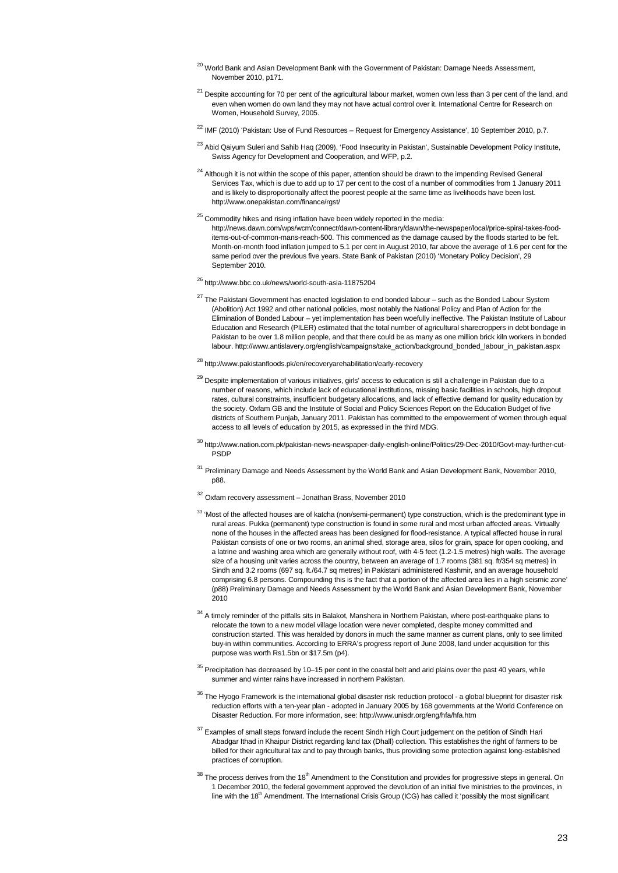- <sup>20</sup> World Bank and Asian Development Bank with the Government of Pakistan: Damage Needs Assessment, November 2010, p171.
- $21$  Despite accounting for 70 per cent of the agricultural labour market, women own less than 3 per cent of the land, and even when women do own land they may not have actual control over it. International Centre for Research on Women, Household Survey, 2005.
- <sup>22</sup> IMF (2010) 'Pakistan: Use of Fund Resources Request for Emergency Assistance', 10 September 2010, p.7.
- <sup>23</sup> Abid Qaiyum Suleri and Sahib Haq (2009), 'Food Insecurity in Pakistan', Sustainable Development Policy Institute, Swiss Agency for Development and Cooperation, and WFP, p.2.
- <sup>24</sup> Although it is not within the scope of this paper, attention should be drawn to the impending Revised General Services Tax, which is due to add up to 17 per cent to the cost of a number of commodities from 1 January 2011 and is likely to disproportionally affect the poorest people at the same time as livelihoods have been lost. http://www.onepakistan.com/finance/rgst/
- $25$  Commodity hikes and rising inflation have been widely reported in the media: http://news.dawn.com/wps/wcm/connect/dawn-content-library/dawn/the-newspaper/local/price-spiral-takes-fooditems-out-of-common-mans-reach-500. This commenced as the damage caused by the floods started to be felt. Month-on-month food inflation jumped to 5.1 per cent in August 2010, far above the average of 1.6 per cent for the same period over the previous five years. State Bank of Pakistan (2010) 'Monetary Policy Decision', 29 September 2010.
- <sup>26</sup> http://www.bbc.co.uk/news/world-south-asia-11875204
- <sup>27</sup> The Pakistani Government has enacted legislation to end bonded labour such as the Bonded Labour System (Abolition) Act 1992 and other national policies, most notably the National Policy and Plan of Action for the Elimination of Bonded Labour – yet implementation has been woefully ineffective. The Pakistan Institute of Labour Education and Research (PILER) estimated that the total number of agricultural sharecroppers in debt bondage in Pakistan to be over 1.8 million people, and that there could be as many as one million brick kiln workers in bonded labour. http://www.antislavery.org/english/campaigns/take\_action/background\_bonded\_labour\_in\_pakistan.aspx
- $^{28}$ http://www.pakistanfloods.pk/en/recoveryarehabilitation/early-recovery
- <sup>29</sup> Despite implementation of various initiatives, girls' access to education is still a challenge in Pakistan due to a number of reasons, which include lack of educational institutions, missing basic facilities in schools, high dropout rates, cultural constraints, insufficient budgetary allocations, and lack of effective demand for quality education by the society. Oxfam GB and the Institute of Social and Policy Sciences Report on the Education Budget of five districts of Southern Punjab, January 2011. Pakistan has committed to the empowerment of women through equal access to all levels of education by 2015, as expressed in the third MDG.
- <sup>30</sup> http://www.nation.com.pk/pakistan-news-newspaper-daily-english-online/Politics/29-Dec-2010/Govt-may-further-cut-PSDP
- <sup>31</sup> Preliminary Damage and Needs Assessment by the World Bank and Asian Development Bank, November 2010, p88.
- <sup>32</sup> Oxfam recovery assessment Jonathan Brass, November 2010
- <sup>33</sup> 'Most of the affected houses are of katcha (non/semi-permanent) type construction, which is the predominant type in rural areas. Pukka (permanent) type construction is found in some rural and most urban affected areas. Virtually none of the houses in the affected areas has been designed for flood-resistance. A typical affected house in rural Pakistan consists of one or two rooms, an animal shed, storage area, silos for grain, space for open cooking, and a latrine and washing area which are generally without roof, with 4-5 feet (1.2-1.5 metres) high walls. The average size of a housing unit varies across the country, between an average of 1.7 rooms (381 sq. ft/354 sq metres) in Sindh and 3.2 rooms (697 sq. ft./64.7 sq metres) in Pakistani administered Kashmir, and an average household comprising 6.8 persons. Compounding this is the fact that a portion of the affected area lies in a high seismic zone' (p88) Preliminary Damage and Needs Assessment by the World Bank and Asian Development Bank, November 2010
- <sup>34</sup> A timelv reminder of the pitfalls sits in Balakot, Manshera in Northern Pakistan, where post-earthquake plans to relocate the town to a new model village location were never completed, despite money committed and construction started. This was heralded by donors in much the same manner as current plans, only to see limited buy-in within communities. According to ERRA's progress report of June 2008, land under acquisition for this purpose was worth Rs1.5bn or \$17.5m (p4).
- $35$  Precipitation has decreased by 10–15 per cent in the coastal belt and arid plains over the past 40 years, while summer and winter rains have increased in northern Pakistan.
- $36$  The Hyogo Framework is the international global disaster risk reduction protocol a global blueprint for disaster risk reduction efforts with a ten-year plan - adopted in January 2005 by 168 governments at the World Conference on Disaster Reduction. For more information, see: http://www.unisdr.org/eng/hfa/hfa.htm
- <sup>37</sup> Examples of small steps forward include the recent Sindh High Court judgement on the petition of Sindh Hari Abadgar Ithad in Khaipur District regarding land tax (Dhall) collection. This establishes the right of farmers to be billed for their agricultural tax and to pay through banks, thus providing some protection against long-established practices of corruption.
- $^{38}$  The process derives from the 18<sup>th</sup> Amendment to the Constitution and provides for progressive steps in general. On 1 December 2010, the federal government approved the devolution of an initial five ministries to the provinces, in line with the 18<sup>th</sup> Amendment. The International Crisis Group (ICG) has called it 'possibly the most significant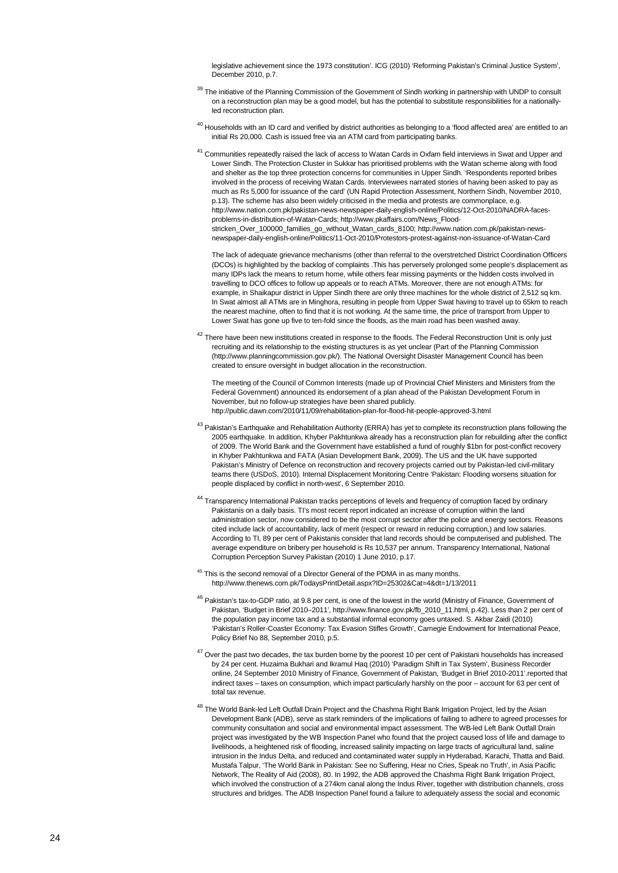legislative achievement since the 1973 constitution'. ICG (2010) 'Reforming Pakistan's Criminal Justice System', December 2010, p.7.

- <sup>39</sup> The initiative of the Planning Commission of the Government of Sindh working in partnership with UNDP to consult on a reconstruction plan may be a good model, but has the potential to substitute responsibilities for a nationallyled reconstruction plan.
- $^{40}$  Households with an ID card and verified by district authorities as belonging to a 'flood affected area' are entitled to an initial Rs 20,000. Cash is issued free via an ATM card from participating banks.
- <sup>41</sup> Communities repeatedly raised the lack of access to Watan Cards in Oxfam field interviews in Swat and Upper and Lower Sindh. The Protection Cluster in Sukkar has prioritised problems with the Watan scheme along with food and shelter as the top three protection concerns for communities in Upper Sindh. 'Respondents reported bribes involved in the process of receiving Watan Cards. Interviewees narrated stories of having been asked to pay as much as Rs 5,000 for issuance of the card' (UN Rapid Protection Assessment, Northern Sindh, November 2010, p.13). The scheme has also been widely criticised in the media and protests are commonplace, e.g. http://www.nation.com.pk/pakistan-news-newspaper-daily-english-online/Politics/12-Oct-2010/NADRA-facesproblems-in-distribution-of-Watan-Cards; http://www.pkaffairs.com/News\_Floodstricken\_Over\_100000\_families\_go\_without\_Watan\_cards\_8100; http://www.nation.com.pk/pakistan-newsnewspaper-daily-english-online/Politics/11-Oct-2010/Protestors-protest-against-non-issuance-of-Watan-Card

The lack of adequate grievance mechanisms (other than referral to the overstretched District Coordination Officers (DCOs) is highlighted by the backlog of complaints .This has perversely prolonged some people's displacement as many IDPs lack the means to return home, while others fear missing payments or the hidden costs involved in travelling to DCO offices to follow up appeals or to reach ATMs. Moreover, there are not enough ATMs: for example, in Shaikapur district in Upper Sindh there are only three machines for the whole district of 2,512 sq km. In Swat almost all ATMs are in Minghora, resulting in people from Upper Swat having to travel up to 65km to reach the nearest machine, often to find that it is not working. At the same time, the price of transport from Upper to Lower Swat has gone up five to ten-fold since the floods, as the main road has been washed away.

 $42$  There have been new institutions created in response to the floods. The Federal Reconstruction Unit is only just recruiting and its relationship to the existing structures is as yet unclear (Part of the Planning Commission (http://www.planningcommission.gov.pk/). The National Oversight Disaster Management Council has been created to ensure oversight in budget allocation in the reconstruction.

The meeting of the Council of Common Interests (made up of Provincial Chief Ministers and Ministers from the Federal Government) announced its endorsement of a plan ahead of the Pakistan Development Forum in November, but no follow-up strategies have been shared publicly. http://public.dawn.com/2010/11/09/rehabilitation-plan-for-flood-hit-people-approved-3.html

- <sup>43</sup> Pakistan's Earthquake and Rehabilitation Authority (ERRA) has yet to complete its reconstruction plans following the 2005 earthquake. In addition, Khyber Pakhtunkwa already has a reconstruction plan for rebuilding after the conflict of 2009. The World Bank and the Government have established a fund of roughly \$1bn for post-conflict recovery in Khyber Pakhtunkwa and FATA (Asian Development Bank, 2009). The US and the UK have supported Pakistan's Ministry of Defence on reconstruction and recovery projects carried out by Pakistan-led civil-military teams there (USDoS, 2010). Internal Displacement Monitoring Centre 'Pakistan: Flooding worsens situation for people displaced by conflict in north-west', 6 September 2010.
- 44 Transparency International Pakistan tracks perceptions of levels and frequency of corruption faced by ordinary Pakistanis on a daily basis. TI's most recent report indicated an increase of corruption within the land administration sector, now considered to be the most corrupt sector after the police and energy sectors. Reasons cited include lack of accountability, lack of merit (respect or reward in reducing corruption,) and low salaries. According to TI, 89 per cent of Pakistanis consider that land records should be computerised and published. The average expenditure on bribery per household is Rs 10,537 per annum. Transparency International, National Corruption Perception Survey Pakistan (2010) 1 June 2010, p.17.
- $45$  This is the second removal of a Director General of the PDMA in as many months. http://www.thenews.com.pk/TodaysPrintDetail.aspx?ID=25302&Cat=4&dt=1/13/2011
- <sup>46</sup> Pakistan's tax-to-GDP ratio, at 9.8 per cent, is one of the lowest in the world (Ministry of Finance, Government of Pakistan, 'Budget in Brief 2010–2011', [http://www.finance.gov.pk/fb\\_2010\\_11.html,](http://www.finance.gov.pk/fb_2010_11.html) p.42). Less than 2 per cent of the population pay income tax and a substantial informal economy goes untaxed. S. Akbar Zaidi (2010) 'Pakistan's Roller-Coaster Economy: Tax Evasion Stifles Growth', Carnegie Endowment for International Peace, Policy Brief No 88, September 2010, p.5.
- $47$  Over the past two decades, the tax burden borne by the poorest 10 per cent of Pakistani households has increased by 24 per cent. Huzaima Bukhari and Ikramul Haq (2010) 'Paradigm Shift in Tax System', Business Recorder online, 24 September 2010 Ministry of Finance, Government of Pakistan, 'Budget in Brief 2010-2011'.reported that indirect taxes – taxes on consumption, which impact particularly harshly on the poor – account for 63 per cent of total tax revenue.
- <sup>48</sup> The World Bank-led Left Outfall Drain Project and the Chashma Right Bank Irrigation Project, led by the Asian Development Bank (ADB), serve as stark reminders of the implications of failing to adhere to agreed processes for community consultation and social and environmental impact assessment. The WB-led Left Bank Outfall Drain project was investigated by the WB Inspection Panel who found that the project caused loss of life and damage to livelihoods, a heightened risk of flooding, increased salinity impacting on large tracts of agricultural land, saline intrusion in the Indus Delta, and reduced and contaminated water supply in Hyderabad, Karachi, Thatta and Baid. Mustafa Talpur, 'The World Bank in Pakistan: See no Suffering, Hear no Cries, Speak no Truth', in Asia Pacific Network, The Reality of Aid (2008), 80. In 1992, the ADB approved the Chashma Right Bank Irrigation Project, which involved the construction of a 274km canal along the Indus River, together with distribution channels, cross structures and bridges. The ADB Inspection Panel found a failure to adequately assess the social and economic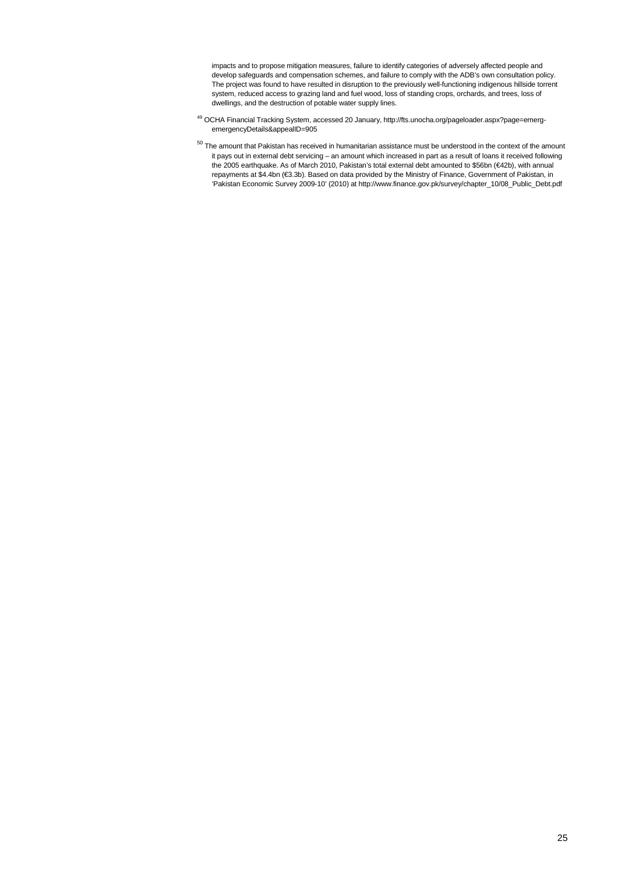impacts and to propose mitigation measures, failure to identify categories of adversely affected people and develop safeguards and compensation schemes, and failure to comply with the ADB's own consultation policy. The project was found to have resulted in disruption to the previously well-functioning indigenous hillside torrent system, reduced access to grazing land and fuel wood, loss of standing crops, orchards, and trees, loss of dwellings, and the destruction of potable water supply lines.

- <sup>49</sup> OCHA Financial Tracking System, accessed 20 January, http://fts.unocha.org/pageloader.aspx?page=emergemergencyDetails&appealID=905
- $50$  The amount that Pakistan has received in humanitarian assistance must be understood in the context of the amount it pays out in external debt servicing – an amount which increased in part as a result of loans it received following the 2005 earthquake. As of March 2010, Pakistan's total external debt amounted to \$56bn (€42b), with annual repayments at \$4.4bn (€3.3b). Based on data provided by the Ministry of Finance, Government of Pakistan, in 'Pakistan Economic Survey 2009-10' (2010) at http://www.finance.gov.pk/survey/chapter\_10/08\_Public\_Debt.pdf